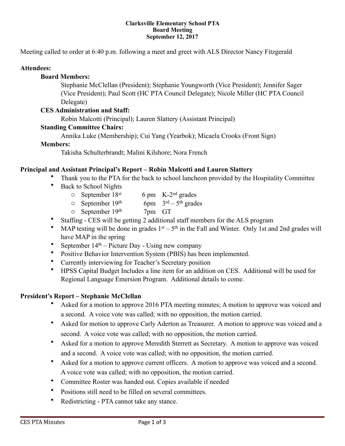#### **Clarksville Elementary School PTA Board Meeting September 12, 2017**

Meeting called to order at 6:40 p.m. following a meet and greet with ALS Director Nancy Fitzgerald

### **Attendees:**

### **Board Members:**

 Stephanie McClellan (President); Stephanie Youngworth (Vice President); Jennifer Sager (Vice President); Paul Scott (HC PTA Council Delegate); Nicole Miller (HC PTA Council Delegate)

### **CES Administration and Staff:**

Robin Malcotti (Principal); Lauren Slattery (Assistant Principal)

## **Standing Committee Chairs:**

Annika Luke (Membership); Cui Yang (Yearbok); Micaela Crooks (Front Sign)

### **Members:**

Takisha Schulterbrandt; Malini Kilshore; Nora French

## **Principal and Assistant Principal's Report – Robin Malcotti and Lauren Slattery**

- Thank you to the PTA for the back to school luncheon provided by the Hospitality Committee
- Back to School Nights
	- $\circ$  September 18<sup>st</sup> 6 pm K-2<sup>nd</sup> grades
	- $\circ$  September 19<sup>th</sup> 6pm  $3^{\text{rd}} 5^{\text{th}}$  grades
	- $\circ$  September 19<sup>th</sup> 7pm GT
- Staffing CES will be getting 2 additional staff members for the ALS program
- MAP testing will be done in grades  $1<sup>st</sup> 5<sup>th</sup>$  in the Fall and Winter. Only 1st and 2nd grades will have MAP in the spring
- September  $14<sup>th</sup>$  Picture Day Using new company
- Positive Behavior Intervention System (PBIS) has been implemented.
- Currently interviewing for Teacher's Secretary position
- HPSS Capital Budget Includes a line item for an addition on CES. Additional will be used for Regional Language Emersion Program. Additional details to come.

### **President's Report – Stephanie McClellan**

- Asked for a motion to approve 2016 PTA meeting minutes; A motion to approve was voiced and a second. A voice vote was called; with no opposition, the motion carried.
- Asked for motion to approve Carly Aderton as Treasurer. A motion to approve was voiced and a second. A voice vote was called; with no opposition, the motion carried.
- Asked for a motion to approve Meredith Sterrett as Secretary. A motion to approve was voiced and a second. A voice vote was called; with no opposition, the motion carried.
- Asked for a motion to approve current officers. A motion to approve was voiced and a second. A voice vote was called; with no opposition, the motion carried.
- Committee Roster was handed out. Copies available if needed
- Positions still need to be filled on several committees.
- Redistricting PTA cannot take any stance.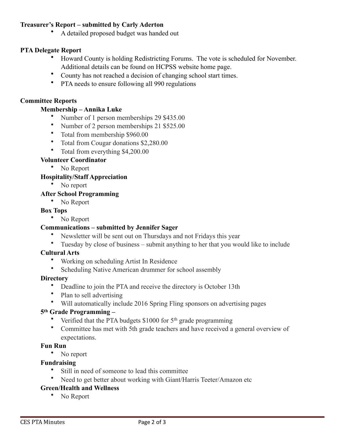## **Treasurer's Report – submitted by Carly Aderton**

• A detailed proposed budget was handed out

### **PTA Delegate Report**

- Howard County is holding Redistricting Forums. The vote is scheduled for November. Additional details can be found on HCPSS website home page.
- County has not reached a decision of changing school start times.
- PTA needs to ensure following all 990 regulations

### **Committee Reports**

### **Membership – Annika Luke**

- Number of 1 person memberships 29 \$435.00
- Number of 2 person memberships 21 \$525.00
- Total from membership \$960.00
- Total from Cougar donations \$2,280.00
- Total from everything \$4,200.00

#### **Volunteer Coordinator**

• No Report

#### **Hospitality/Staff Appreciation**

• No report

#### **After School Programming**

• No Report

#### **Box Tops**

• No Report

### **Communications – submitted by Jennifer Sager**

- Newsletter will be sent out on Thursdays and not Fridays this year
- Tuesday by close of business submit anything to her that you would like to include

#### **Cultural Arts**

- Working on scheduling Artist In Residence
- Scheduling Native American drummer for school assembly

#### **Directory**

- Deadline to join the PTA and receive the directory is October 13th
- Plan to sell advertising
- Will automatically include 2016 Spring Fling sponsors on advertising pages

### **5th Grade Programming –**

- Verified that the PTA budgets \$1000 for 5<sup>th</sup> grade programming
- Committee has met with 5th grade teachers and have received a general overview of expectations.

#### **Fun Run**

• No report

### **Fundraising**

- Still in need of someone to lead this committee
- Need to get better about working with Giant/Harris Teeter/Amazon etc

# **Green/Health and Wellness**

• No Report